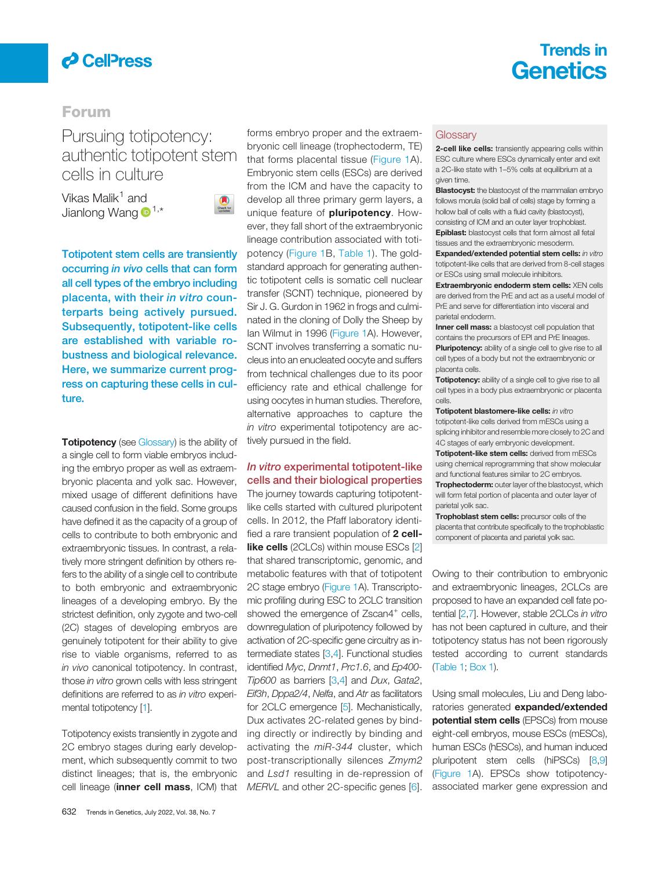

# Trends in **Genetics**

## Forum

# Pursuing totipotency:<br>authentic totipotent stem cells in culture

vikas Malik<sup>1</sup> and Jianlong Wang  $\mathbf{D}^{1,*}$  $\mathbf{D}^{1,*}$  $\mathbf{D}^{1,*}$  $\mathbf{D}^{1,*}$  $\mathbf{D}^{1,*}$ 



Totipotent stem cells are transiently occurring in vivo cells that can form all cell types of the embryo including placenta, with their in vitro counterparts being actively pursued. Subsequently, totipotent-like cells are established with variable robustness and biological relevance. Here, we summarize current progress on capturing these cells in culture.

**Totipotency** (see Glossary) is the ability of a single cell to form viable embryos including the embryo proper as well as extraembryonic placenta and yolk sac. However, mixed usage of different definitions have caused confusion in the field. Some groups have defined it as the capacity of a group of cells to contribute to both embryonic and extraembryonic tissues. In contrast, a relatively more stringent definition by others refers to the ability of a single cell to contribute to both embryonic and extraembryonic lineages of a developing embryo. By the strictest definition, only zygote and two-cell (2C) stages of developing embryos are genuinely totipotent for their ability to give rise to viable organisms, referred to as in vivo canonical totipotency. In contrast, those in vitro grown cells with less stringent definitions are referred to as in vitro experimental totipotency [\[1\]](#page-4-0).

Totipotency exists transiently in zygote and 2C embryo stages during early development, which subsequently commit to two distinct lineages; that is, the embryonic cell lineage (inner cell mass, ICM) that

forms embryo proper and the extraembryonic cell lineage (trophectoderm, TE) that forms placental tissue ([Figure 1A](#page-1-0)). Embryonic stem cells (ESCs) are derived from the ICM and have the capacity to develop all three primary germ layers, a unique feature of **pluripotency**. However, they fall short of the extraembryonic lineage contribution associated with totipotency [\(Figure 1](#page-1-0)B, [Table 1](#page-3-0)). The goldstandard approach for generating authentic totipotent cells is somatic cell nuclear transfer (SCNT) technique, pioneered by Sir J. G. Gurdon in 1962 in frogs and culminated in the cloning of Dolly the Sheep by Ian Wilmut in 1996 ([Figure 1A](#page-1-0)). However, SCNT involves transferring a somatic nucleus into an enucleated oocyte and suffers from technical challenges due to its poor efficiency rate and ethical challenge for using oocytes in human studies. Therefore, alternative approaches to capture the in vitro experimental totipotency are actively pursued in the field.

## In vitro experimental totipotent-like cells and their biological properties

The journey towards capturing totipotentlike cells started with cultured pluripotent cells. In 2012, the Pfaff laboratory identified a rare transient population of 2 cell**like cells** (2CLCs) within mouse ESCs [[2\]](#page-4-0) that shared transcriptomic, genomic, and metabolic features with that of totipotent 2C stage embryo [\(Figure 1A](#page-1-0)). Transcriptomic profiling during ESC to 2CLC transition showed the emergence of Zscan4<sup>+</sup> cells, downregulation of pluripotency followed by activation of 2C-specific gene circuitry as intermediate states [[3,4\]](#page-4-0). Functional studies identified Myc, Dnmt1, Prc1.6, and Ep400- Tip600 as barriers [\[3,4\]](#page-4-0) and Dux, Gata2, Eif3h, Dppa2/4, Nelfa, and Atr as facilitators for 2CLC emergence [[5\]](#page-4-0). Mechanistically, Dux activates 2C-related genes by binding directly or indirectly by binding and activating the miR-344 cluster, which post-transcriptionally silences Zmym2 and Lsd1 resulting in de-repression of MERVL and other 2C-specific genes [[6\]](#page-4-0).

#### **Glossary**

2-cell like cells: transiently appearing cells within ESC culture where ESCs dynamically enter and exit a 2C-like state with 1–5% cells at equilibrium at a given time.

**Blastocyst:** the blastocyst of the mammalian embryo follows morula (solid ball of cells) stage by forming a hollow ball of cells with a fluid cavity (blastocyst), consisting of ICM and an outer layer trophoblast. Epiblast: blastocyst cells that form almost all fetal tissues and the extraembryonic mesoderm.

**Expanded/extended potential stem cells:** in vitro totipotent-like cells that are derived from 8-cell stages or ESCs using small molecule inhibitors.

Extraembryonic endoderm stem cells: XEN cells are derived from the PrE and act as a useful model of PrE and serve for differentiation into visceral and parietal endoderm.

Inner cell mass: a blastocyst cell population that contains the precursors of EPI and PrE lineages.

**Pluripotency:** ability of a single cell to give rise to all cell types of a body but not the extraembryonic or placenta cells.

Totipotency: ability of a single cell to give rise to all cell types in a body plus extraembryonic or placenta cells.

Totipotent blastomere-like cells: in vitro totipotent-like cells derived from mESCs using a splicing inhibitor and resemble more closely to 2C and 4C stages of early embryonic development.

Totipotent-like stem cells: derived from mESCs using chemical reprogramming that show molecular and functional features similar to 2C embryos. Trophectoderm: outer layer of the blastocyst, which will form fetal portion of placenta and outer layer of parietal yolk sac.

Trophoblast stem cells: precursor cells of the placenta that contribute specifically to the trophoblastic component of placenta and parietal yolk sac.

Owing to their contribution to embryonic and extraembryonic lineages, 2CLCs are proposed to have an expanded cell fate potential [\[2,7\]](#page-4-0). However, stable 2CLCs in vitro has not been captured in culture, and their totipotency status has not been rigorously tested according to current standards [\(Table 1](#page-3-0); [Box 1\)](#page-4-0).

Using small molecules, Liu and Deng laboratories generated **expanded/extended potential stem cells** (EPSCs) from mouse eight-cell embryos, mouse ESCs (mESCs), human ESCs (hESCs), and human induced pluripotent stem cells (hiPSCs) [[8,9](#page-4-0)] [\(Figure 1A](#page-1-0)). EPSCs show totipotencyassociated marker gene expression and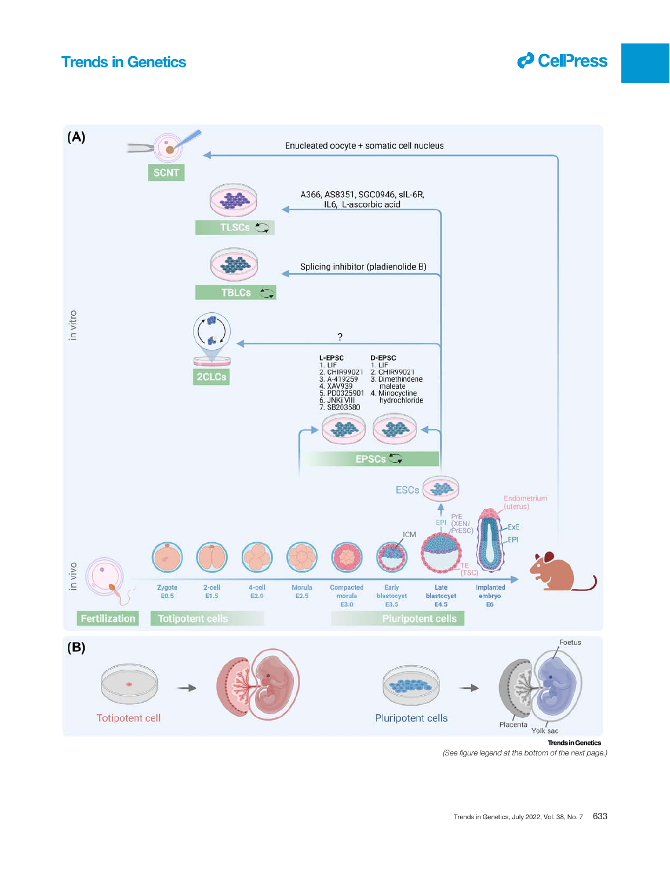

<span id="page-1-0"></span>

<sup>(</sup>See figure legend at the bottom of the next page.)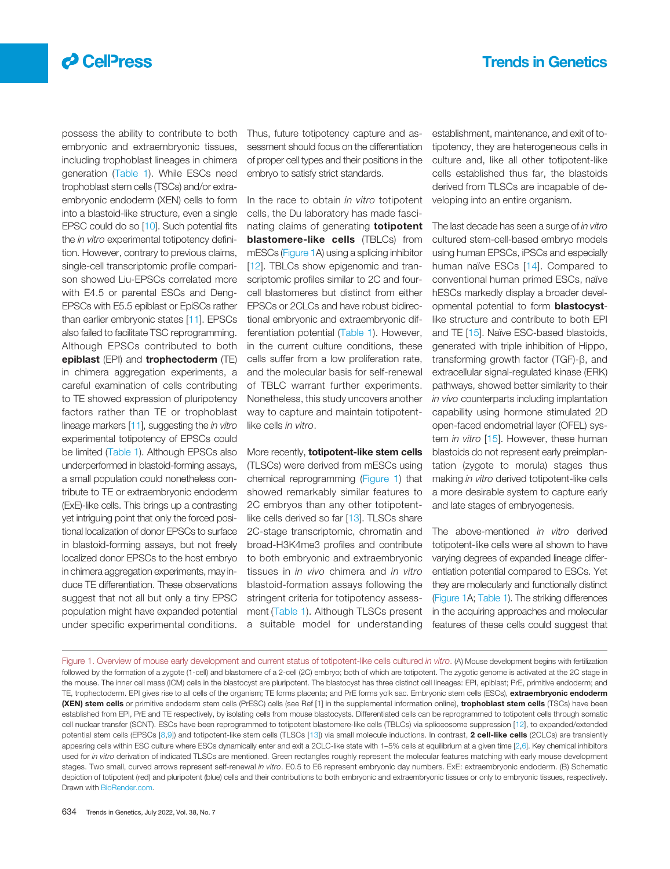# Trends in Genetics

# $\partial$  CelPress

possess the ability to contribute to both embryonic and extraembryonic tissues, including trophoblast lineages in chimera generation [\(Table 1\)](#page-3-0). While ESCs need trophoblast stem cells (TSCs) and/or extraembryonic endoderm (XEN) cells to form into a blastoid-like structure, even a single EPSC could do so [[10\]](#page-4-0). Such potential fits the in vitro experimental totipotency definition. However, contrary to previous claims, single-cell transcriptomic profile comparison showed Liu-EPSCs correlated more with E4.5 or parental ESCs and Deng-EPSCs with E5.5 epiblast or EpiSCs rather than earlier embryonic states [[11\]](#page-4-0). EPSCs also failed to facilitate TSC reprogramming. Although EPSCs contributed to both epiblast (EPI) and trophectoderm (TE) in chimera aggregation experiments, a careful examination of cells contributing to TE showed expression of pluripotency factors rather than TE or trophoblast lineage markers [[11](#page-4-0)], suggesting the *in vitro* experimental totipotency of EPSCs could be limited [\(Table 1](#page-3-0)). Although EPSCs also underperformed in blastoid-forming assays, a small population could nonetheless contribute to TE or extraembryonic endoderm (ExE)-like cells. This brings up a contrasting yet intriguing point that only the forced positional localization of donor EPSCs to surface in blastoid-forming assays, but not freely localized donor EPSCs to the host embryo in chimera aggregation experiments, may induce TE differentiation. These observations suggest that not all but only a tiny EPSC population might have expanded potential under specific experimental conditions.

Thus, future totipotency capture and assessment should focus on the differentiation of proper cell types and their positions in the embryo to satisfy strict standards.

In the race to obtain in vitro totipotent cells, the Du laboratory has made fascinating claims of generating **totipotent blastomere-like cells** (TBLCs) from mESCs ([Figure 1](#page-1-0)A) using a splicing inhibitor [[12\]](#page-4-0). TBLCs show epigenomic and transcriptomic profiles similar to 2C and fourcell blastomeres but distinct from either EPSCs or 2CLCs and have robust bidirectional embryonic and extraembryonic differentiation potential [\(Table 1\)](#page-3-0). However, in the current culture conditions, these cells suffer from a low proliferation rate, and the molecular basis for self-renewal of TBLC warrant further experiments. Nonetheless, this study uncovers another way to capture and maintain totipotentlike cells in vitro.

More recently, **totipotent-like stem cells** (TLSCs) were derived from mESCs using chemical reprogramming [\(Figure 1](#page-1-0)) that showed remarkably similar features to 2C embryos than any other totipotent-like cells derived so far [[13\]](#page-4-0). TLSCs share 2C-stage transcriptomic, chromatin and broad-H3K4me3 profiles and contribute to both embryonic and extraembryonic tissues in in vivo chimera and in vitro blastoid-formation assays following the stringent criteria for totipotency assessment [\(Table 1\)](#page-3-0). Although TLSCs present a suitable model for understanding

establishment, maintenance, and exit of totipotency, they are heterogeneous cells in culture and, like all other totipotent-like cells established thus far, the blastoids derived from TLSCs are incapable of developing into an entire organism.

The last decade has seen a surge of in vitro cultured stem-cell-based embryo models using human EPSCs, iPSCs and especially human naïve ESCs [[14](#page-4-0)]. Compared to conventional human primed ESCs, naïve hESCs markedly display a broader developmental potential to form blastocystlike structure and contribute to both EPI and TE [[15\]](#page-4-0). Naïve ESC-based blastoids, generated with triple inhibition of Hippo, transforming growth factor (TGF)-β, and extracellular signal-regulated kinase (ERK) pathways, showed better similarity to their in vivo counterparts including implantation capability using hormone stimulated 2D open-faced endometrial layer (OFEL) system *in vitro* [[15\]](#page-4-0). However, these human blastoids do not represent early preimplantation (zygote to morula) stages thus making in vitro derived totipotent-like cells a more desirable system to capture early and late stages of embryogenesis.

The above-mentioned *in vitro* derived totipotent-like cells were all shown to have varying degrees of expanded lineage differentiation potential compared to ESCs. Yet they are molecularly and functionally distinct [\(Figure 1](#page-1-0)A; [Table 1](#page-3-0)). The striking differences in the acquiring approaches and molecular features of these cells could suggest that

Figure 1. Overview of mouse early development and current status of totipotent-like cells cultured in vitro. (A) Mouse development begins with fertilization followed by the formation of a zygote (1-cell) and blastomere of a 2-cell (2C) embryo; both of which are totipotent. The zygotic genome is activated at the 2C stage in the mouse. The inner cell mass (ICM) cells in the blastocyst are pluripotent. The blastocyst has three distinct cell lineages: EPI, epiblast; PrE, primitive endoderm; and TE, trophectoderm. EPI gives rise to all cells of the organism; TE forms placenta; and PrE forms yolk sac. Embryonic stem cells (ESCs), extraembryonic endoderm (XEN) stem cells or primitive endoderm stem cells (PrESC) cells (see Ref [1] in the supplemental information online), trophoblast stem cells (TSCs) have been established from EPI, PrE and TE respectively, by isolating cells from mouse blastocysts. Differentiated cells can be reprogrammed to totipotent cells through somatic cell nuclear transfer (SCNT). ESCs have been reprogrammed to totipotent blastomere-like cells (TBLCs) via spliceosome suppression [[12](#page-4-0)], to expanded/extended potential stem cells (EPSCs [[8,9\]](#page-4-0)) and totipotent-like stem cells (TLSCs [[13\]](#page-4-0)) via small molecule inductions. In contrast, 2 cell-like cells (2CLCs) are transiently appearing cells within ESC culture where ESCs dynamically enter and exit a 2CLC-like state with 1-5% cells at equilibrium at a given time [\[2,6\]](#page-4-0). Key chemical inhibitors used for in vitro derivation of indicated TLSCs are mentioned. Green rectangles roughly represent the molecular features matching with early mouse development stages. Two small, curved arrows represent self-renewal in vitro. E0.5 to E6 represent embryonic day numbers. ExE: extraembryonic endoderm. (B) Schematic depiction of totipotent (red) and pluripotent (blue) cells and their contributions to both embryonic and extraembryonic tissues or only to embryonic tissues, respectively. Drawn with [BioRender.com](http://BioRender.com).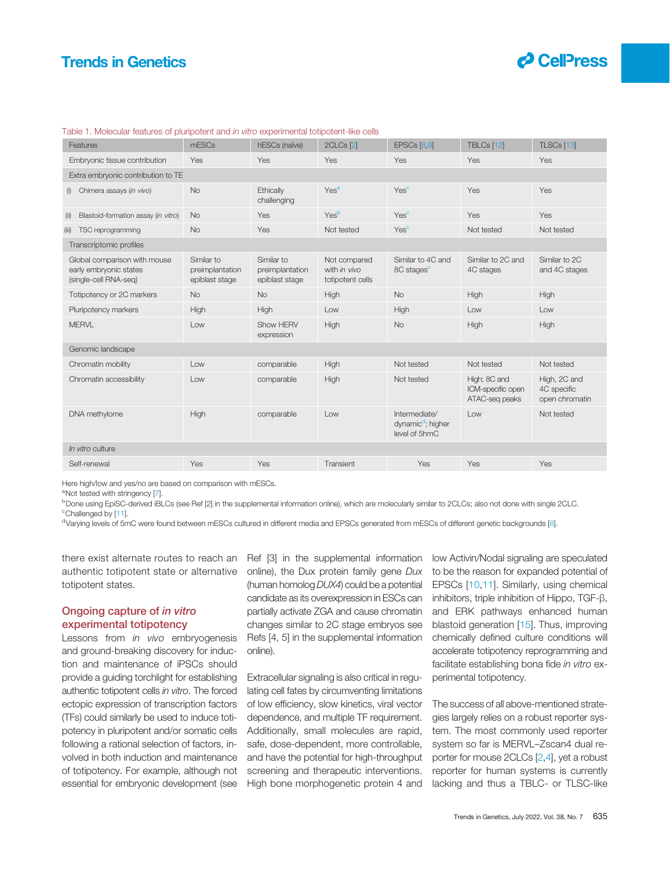# <span id="page-3-0"></span>Trends in Genetics



| Features                                                                        | mESCs                                           | hESCs (naïve)                                   | 2CLCs <sup>[2]</sup>                             | EPSCs [8,9]                                                     | TBLCs [12]                                          | TLSCs [13]                                    |
|---------------------------------------------------------------------------------|-------------------------------------------------|-------------------------------------------------|--------------------------------------------------|-----------------------------------------------------------------|-----------------------------------------------------|-----------------------------------------------|
| Embryonic tissue contribution                                                   | Yes                                             | Yes                                             | Yes                                              | Yes                                                             | Yes                                                 | Yes                                           |
| Extra embryonic contribution to TE                                              |                                                 |                                                 |                                                  |                                                                 |                                                     |                                               |
| Chimera assays (in vivo)<br>(i)                                                 | <b>No</b>                                       | Ethically<br>challenging                        | Yes <sup>a</sup>                                 | Yes <sup>c</sup>                                                | Yes                                                 | Yes                                           |
| Blastoid-formation assay (in vitro)<br>(i)                                      | <b>No</b>                                       | Yes                                             | Yesb                                             | Yes <sup>c</sup>                                                | Yes                                                 | Yes                                           |
| TSC reprogramming<br>(iii)                                                      | <b>No</b>                                       | Yes                                             | Not tested                                       | Yes <sup>c</sup>                                                | Not tested                                          | Not tested                                    |
| Transcriptomic profiles                                                         |                                                 |                                                 |                                                  |                                                                 |                                                     |                                               |
| Global comparison with mouse<br>early embryonic states<br>(single-cell RNA-seg) | Similar to<br>preimplantation<br>epiblast stage | Similar to<br>preimplantation<br>epiblast stage | Not compared<br>with in vivo<br>totipotent cells | Similar to 4C and<br>8C stages <sup>c</sup>                     | Similar to 2C and<br>4C stages                      | Similar to 2C<br>and 4C stages                |
| Totipotency or 2C markers                                                       | <b>No</b>                                       | <b>No</b>                                       | High                                             | <b>No</b>                                                       | High                                                | High                                          |
| Pluripotency markers                                                            | High                                            | High                                            | Low                                              | High                                                            | Low                                                 | Low                                           |
| <b>MERVL</b>                                                                    | Low                                             | Show HERV<br>expression                         | High                                             | <b>No</b>                                                       | High                                                | High                                          |
| Genomic landscape                                                               |                                                 |                                                 |                                                  |                                                                 |                                                     |                                               |
| Chromatin mobility                                                              | Low                                             | comparable                                      | High                                             | Not tested                                                      | Not tested                                          | Not tested                                    |
| Chromatin accessibility                                                         | Low                                             | comparable                                      | High                                             | Not tested                                                      | High; 8C and<br>ICM-specific open<br>ATAC-seq peaks | High, 2C and<br>4C specific<br>open chromatin |
| DNA methylome                                                                   | High                                            | comparable                                      | Low                                              | Intermediate/<br>dynamic <sup>d</sup> ; higher<br>level of 5hmC | Low                                                 | Not tested                                    |
| In vitro culture                                                                |                                                 |                                                 |                                                  |                                                                 |                                                     |                                               |
| Self-renewal                                                                    | Yes                                             | Yes                                             | Transient                                        | Yes                                                             | Yes                                                 | Yes                                           |
|                                                                                 |                                                 |                                                 |                                                  |                                                                 |                                                     |                                               |

## Table 1. Molecular features of pluripotent and in vitro experimental totipotent-like cells

Here high/low and yes/no are based on comparison with mESCs.

<sup>a</sup>Not tested with stringency [[7\]](#page-4-0).

<sup>b</sup>Done using EpiSC-derived iBLCs (see Ref [2] in the supplemental information online), which are molecularly similar to 2CLCs; also not done with single 2CLC. <sup>c</sup>Challenged by [[11](#page-4-0)].

<sup>d</sup>Varying levels of 5mC were found between mESCs cultured in different media and EPSCs generated from mESCs of different genetic backgrounds [\[8\]](#page-4-0).

there exist alternate routes to reach an authentic totipotent state or alternative totipotent states.

## Ongoing capture of in vitro experimental totipotency

Lessons from *in vivo* embryogenesis and ground-breaking discovery for induction and maintenance of iPSCs should provide a guiding torchlight for establishing authentic totipotent cells in vitro. The forced ectopic expression of transcription factors (TFs) could similarly be used to induce totipotency in pluripotent and/or somatic cells following a rational selection of factors, involved in both induction and maintenance of totipotency. For example, although not essential for embryonic development (see Ref [3] in the supplemental information online), the Dux protein family gene Dux (human homolog DUX4) could be a potential candidate as its overexpression in ESCs can partially activate ZGA and cause chromatin changes similar to 2C stage embryos see Refs [4, 5] in the supplemental information online).

Extracellular signaling is also critical in regulating cell fates by circumventing limitations of low efficiency, slow kinetics, viral vector dependence, and multiple TF requirement. Additionally, small molecules are rapid, safe, dose-dependent, more controllable, and have the potential for high-throughput screening and therapeutic interventions. High bone morphogenetic protein 4 and

low Activin/Nodal signaling are speculated to be the reason for expanded potential of EPSCs [[10,11\]](#page-4-0). Similarly, using chemical inhibitors, triple inhibition of Hippo, TGF-β, and ERK pathways enhanced human blastoid generation [[15\]](#page-4-0). Thus, improving chemically defined culture conditions will accelerate totipotency reprogramming and facilitate establishing bona fide in vitro experimental totipotency.

The success of all above-mentioned strategies largely relies on a robust reporter system. The most commonly used reporter system so far is MERVL–Zscan4 dual reporter for mouse 2CLCs [\[2](#page-4-0),[4](#page-4-0)], yet a robust reporter for human systems is currently lacking and thus a TBLC- or TLSC-like